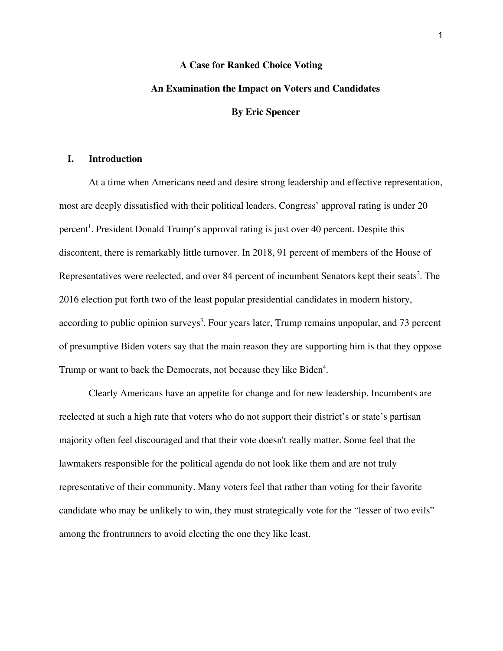# **A Case for Ranked Choice Voting An Examination the Impact on Voters and Candidates By Eric Spencer**

# **I. Introduction**

At a time when Americans need and desire strong leadership and effective representation, most are deeply dissatisfied with their political leaders. Congress' approval rating is under 20 percent 1 . President Donald Trump's approval rating is just over 40 percent. Despite this discontent, there is remarkably little turnover. In 2018, 91 percent of members of the House of Representatives were reelected, and over 84 percent of incumbent Senators kept their seats<sup>2</sup>. The 2016 election put forth two of the least popular presidential candidates in modern history, according to public opinion surveys 3 . Four years later, Trump remains unpopular, and 73 percent of presumptive Biden voters say that the main reason they are supporting him is that they oppose Trump or want to back the Democrats, not because they like Biden 4 .

Clearly Americans have an appetite for change and for new leadership. Incumbents are reelected at such a high rate that voters who do not support their district's or state's partisan majority often feel discouraged and that their vote doesn't really matter. Some feel that the lawmakers responsible for the political agenda do not look like them and are not truly representative of their community. Many voters feel that rather than voting for their favorite candidate who may be unlikely to win, they must strategically vote for the "lesser of two evils" among the frontrunners to avoid electing the one they like least.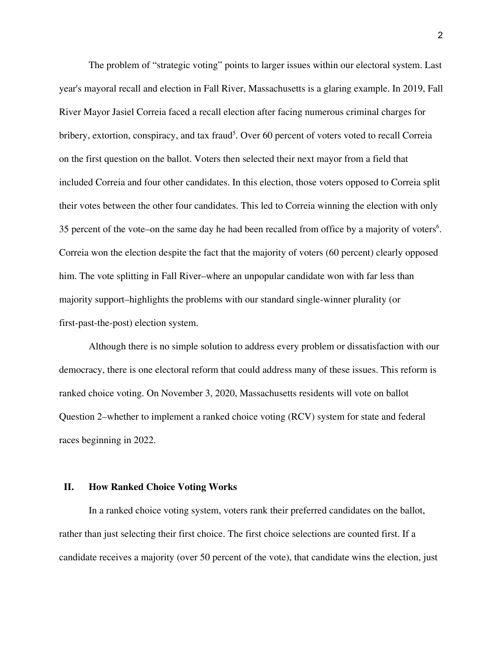The problem of "strategic voting" points to larger issues within our electoral system. Last year's mayoral recall and election in Fall River, Massachusetts is a glaring example. In 2019, Fall River Mayor Jasiel Correia faced a recall election after facing numerous criminal charges for bribery, extortion, conspiracy, and tax fraud<sup>5</sup>. Over 60 percent of voters voted to recall Correia on the first question on the ballot. Voters then selected their next mayor from a field that included Correia and four other candidates. In this election, those voters opposed to Correia split their votes between the other four candidates. This led to Correia winning the election with only 35 percent of the vote–on the same day he had been recalled from office by a majority of voters 6 . Correia won the election despite the fact that the majority of voters (60 percent) clearly opposed him. The vote splitting in Fall River–where an unpopular candidate won with far less than majority support–highlights the problems with our standard single-winner plurality (or first-past-the-post) election system.

Although there is no simple solution to address every problem or dissatisfaction with our democracy, there is one electoral reform that could address many of these issues. This reform is ranked choice voting. On November 3, 2020, Massachusetts residents will vote on ballot Question 2–whether to implement a ranked choice voting (RCV) system for state and federal races beginning in 2022.

# **II. How Ranked Choice Voting Works**

In a ranked choice voting system, voters rank their preferred candidates on the ballot, rather than just selecting their first choice. The first choice selections are counted first. If a candidate receives a majority (over 50 percent of the vote), that candidate wins the election, just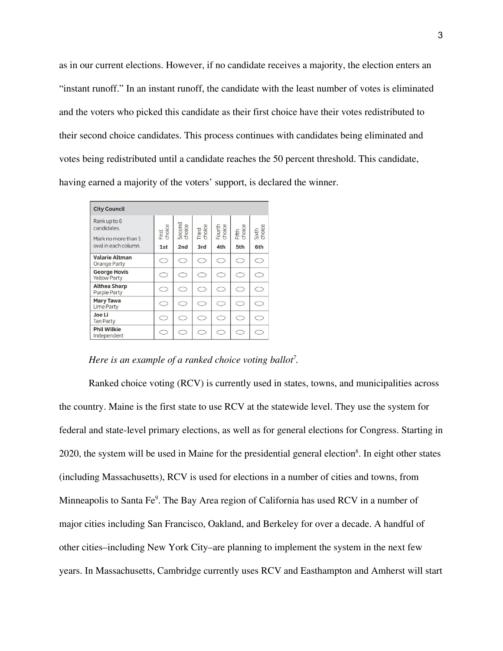as in our current elections. However, if no candidate receives a majority, the election enters an "instant runoff." In an instant runoff, the candidate with the least number of votes is eliminated and the voters who picked this candidate as their first choice have their votes redistributed to their second choice candidates. This process continues with candidates being eliminated and votes being redistributed until a candidate reaches the 50 percent threshold. This candidate, having earned a majority of the voters' support, is declared the winner.

| <b>City Council</b>                                |                 |                  |                 |                  |                 |                 |
|----------------------------------------------------|-----------------|------------------|-----------------|------------------|-----------------|-----------------|
| Rank up to 6<br>candidates.<br>Mark no more than 1 | First<br>choice | Second<br>choice | Third<br>choice | Fourth<br>choice | Fifth<br>choice | Sixth<br>choice |
| oval in each column.                               | 1st             | 2nd              | 3rd             | 4th              | 5th             | 6th             |
| <b>Valarie Altman</b><br>Orange Party              | ⊂               | C                | C               | $\subset$        | C               | ⊂               |
| <b>George Hovis</b><br><b>Yellow Party</b>         | ⊂               | ⊂                | ⊂               | ⊂                |                 |                 |
| <b>Althea Sharp</b><br><b>Purple Party</b>         | C               | $\subset$        | C               | $\subset$        | $\subset$       | $\subset$       |
| <b>Mary Tawa</b><br><b>Lime Party</b>              | $\subset$       | $\subset$        | $\subset$       | $\subset$        | $\subset$       | $\subset$       |
| Joe Li<br><b>Tan Party</b>                         | Γ,              | $\subset$        | $\subset$       | $\subset$        | 0               |                 |
| <b>Phil Wilkie</b><br>Independent                  | ⊂               | ⊂                | C               | $\subset$        | C)              | Γ.              |

*Here is an example of a ranked choice voting ballot<sup>7</sup> .*

Ranked choice voting (RCV) is currently used in states, towns, and municipalities across the country. Maine is the first state to use RCV at the statewide level. They use the system for federal and state-level primary elections, as well as for general elections for Congress. Starting in 2020, the system will be used in Maine for the presidential general election<sup>8</sup>. In eight other states (including Massachusetts), RCV is used for elections in a number of cities and towns, from Minneapolis to Santa Fe 9 . The Bay Area region of California has used RCV in a number of major cities including San Francisco, Oakland, and Berkeley for over a decade. A handful of other cities–including New York City–are planning to implement the system in the next few years. In Massachusetts, Cambridge currently uses RCV and Easthampton and Amherst will start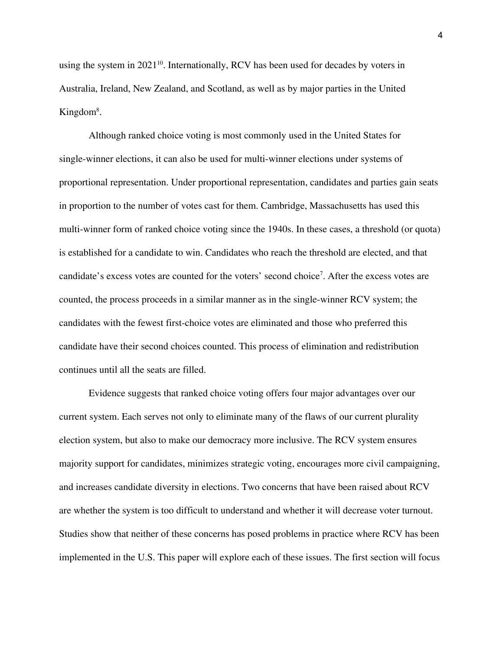using the system in 2021 10 . Internationally, RCV has been used for decades by voters in Australia, Ireland, New Zealand, and Scotland, as well as by major parties in the United Kingdom<sup>8</sup>.

Although ranked choice voting is most commonly used in the United States for single-winner elections, it can also be used for multi-winner elections under systems of proportional representation. Under proportional representation, candidates and parties gain seats in proportion to the number of votes cast for them. Cambridge, Massachusetts has used this multi-winner form of ranked choice voting since the 1940s. In these cases, a threshold (or quota) is established for a candidate to win. Candidates who reach the threshold are elected, and that candidate's excess votes are counted for the voters' second choice 7 . After the excess votes are counted, the process proceeds in a similar manner as in the single-winner RCV system; the candidates with the fewest first-choice votes are eliminated and those who preferred this candidate have their second choices counted. This process of elimination and redistribution continues until all the seats are filled.

Evidence suggests that ranked choice voting offers four major advantages over our current system. Each serves not only to eliminate many of the flaws of our current plurality election system, but also to make our democracy more inclusive. The RCV system ensures majority support for candidates, minimizes strategic voting, encourages more civil campaigning, and increases candidate diversity in elections. Two concerns that have been raised about RCV are whether the system is too difficult to understand and whether it will decrease voter turnout. Studies show that neither of these concerns has posed problems in practice where RCV has been implemented in the U.S. This paper will explore each of these issues. The first section will focus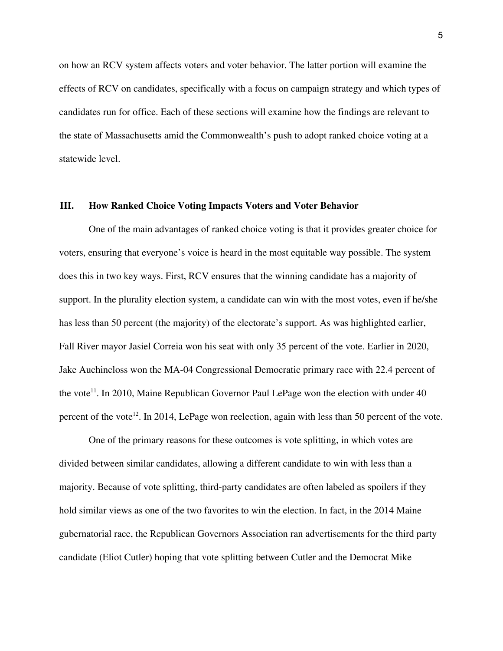on how an RCV system affects voters and voter behavior. The latter portion will examine the effects of RCV on candidates, specifically with a focus on campaign strategy and which types of candidates run for office. Each of these sections will examine how the findings are relevant to the state of Massachusetts amid the Commonwealth's push to adopt ranked choice voting at a statewide level.

## **III. How Ranked Choice Voting Impacts Voters and Voter Behavior**

One of the main advantages of ranked choice voting is that it provides greater choice for voters, ensuring that everyone's voice is heard in the most equitable way possible. The system does this in two key ways. First, RCV ensures that the winning candidate has a majority of support. In the plurality election system, a candidate can win with the most votes, even if he/she has less than 50 percent (the majority) of the electorate's support. As was highlighted earlier, Fall River mayor Jasiel Correia won his seat with only 35 percent of the vote. Earlier in 2020, Jake Auchincloss won the MA-04 Congressional Democratic primary race with 22.4 percent of the vote<sup>11</sup>. In 2010, Maine Republican Governor Paul LePage won the election with under 40 percent of the vote<sup>12</sup>. In 2014, LePage won reelection, again with less than 50 percent of the vote.

One of the primary reasons for these outcomes is vote splitting, in which votes are divided between similar candidates, allowing a different candidate to win with less than a majority. Because of vote splitting, third-party candidates are often labeled as spoilers if they hold similar views as one of the two favorites to win the election. In fact, in the 2014 Maine gubernatorial race, the Republican Governors Association ran advertisements for the third party candidate (Eliot Cutler) hoping that vote splitting between Cutler and the Democrat Mike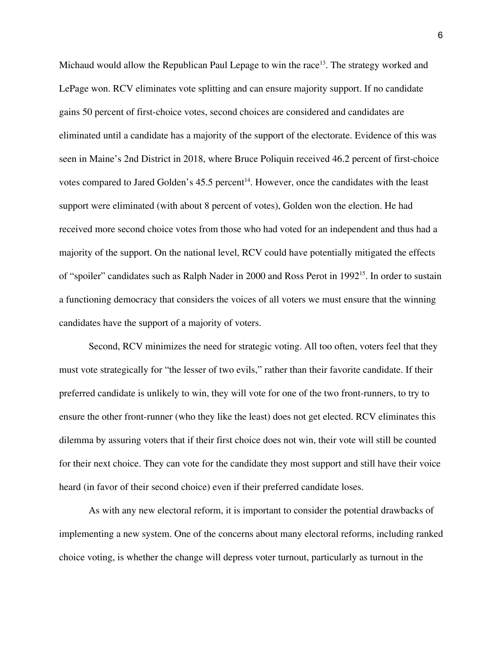Michaud would allow the Republican Paul Lepage to win the race<sup>13</sup>. The strategy worked and LePage won. RCV eliminates vote splitting and can ensure majority support. If no candidate gains 50 percent of first-choice votes, second choices are considered and candidates are eliminated until a candidate has a majority of the support of the electorate. Evidence of this was seen in Maine's 2nd District in 2018, where Bruce Poliquin received 46.2 percent of first-choice votes compared to Jared Golden's  $45.5$  percent<sup>14</sup>. However, once the candidates with the least support were eliminated (with about 8 percent of votes), Golden won the election. He had received more second choice votes from those who had voted for an independent and thus had a majority of the support. On the national level, RCV could have potentially mitigated the effects of "spoiler" candidates such as Ralph Nader in 2000 and Ross Perot in 1992<sup>15</sup>. In order to sustain a functioning democracy that considers the voices of all voters we must ensure that the winning candidates have the support of a majority of voters.

Second, RCV minimizes the need for strategic voting. All too often, voters feel that they must vote strategically for "the lesser of two evils," rather than their favorite candidate. If their preferred candidate is unlikely to win, they will vote for one of the two front-runners, to try to ensure the other front-runner (who they like the least) does not get elected. RCV eliminates this dilemma by assuring voters that if their first choice does not win, their vote will still be counted for their next choice. They can vote for the candidate they most support and still have their voice heard (in favor of their second choice) even if their preferred candidate loses.

As with any new electoral reform, it is important to consider the potential drawbacks of implementing a new system. One of the concerns about many electoral reforms, including ranked choice voting, is whether the change will depress voter turnout, particularly as turnout in the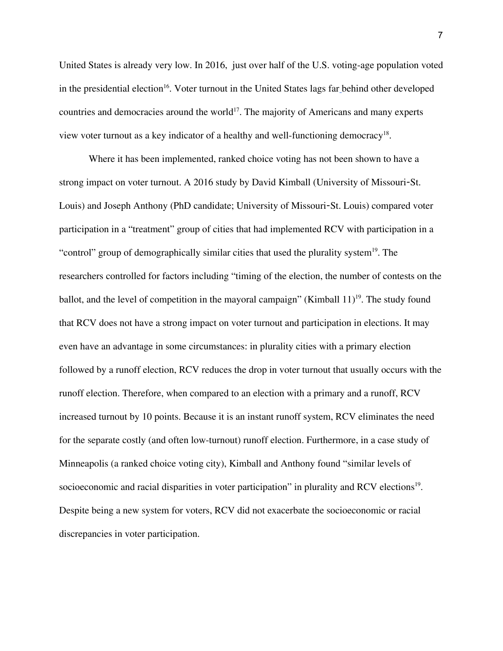United States is already very low. In 2016, just over half of the U.S. voting-age population voted in the presidential election 16 . Voter turnout in the United States lags fa[r](https://www.pewresearch.org/fact-tank/2018/05/21/u-s-voter-turnout-trails-most-developed-countries/) behind other developed countries and democracies around the world 17 . The majority of Americans and many experts view voter turnout as a key indicator of a healthy and well-functioning democracy<sup>18</sup>.

Where it has been implemented, ranked choice voting has not been shown to have a strong impact on voter turnout. A 2016 study by David Kimball (University of Missouri-St. Louis) and Joseph Anthony (PhD candidate; University of Missouri-St. Louis) compared voter participation in a "treatment" group of cities that had implemented RCV with participation in a "control" group of demographically similar cities that used the plurality system<sup>19</sup>. The researchers controlled for factors including "timing of the election, the number of contests on the ballot, and the level of competition in the mayoral campaign" (Kimball  $11$ )<sup>19</sup>. The study found that RCV does not have a strong impact on voter turnout and participation in elections. It may even have an advantage in some circumstances: in plurality cities with a primary election followed by a runoff election, RCV reduces the drop in voter turnout that usually occurs with the runoff election. Therefore, when compared to an election with a primary and a runoff, RCV increased turnout by 10 points. Because it is an instant runoff system, RCV eliminates the need for the separate costly (and often low-turnout) runoff election. Furthermore, in a case study of Minneapolis (a ranked choice voting city), Kimball and Anthony found "similar levels of socioeconomic and racial disparities in voter participation" in plurality and RCV elections<sup>19</sup>. Despite being a new system for voters, RCV did not exacerbate the socioeconomic or racial discrepancies in voter participation.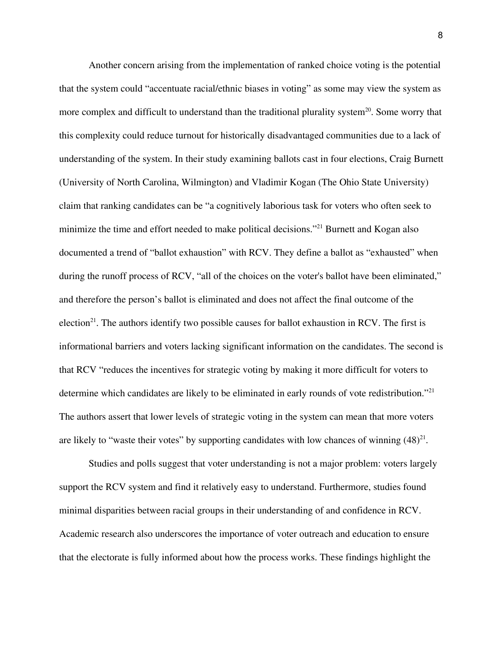Another concern arising from the implementation of ranked choice voting is the potential that the system could "accentuate racial/ethnic biases in voting" as some may view the system as more complex and difficult to understand than the traditional plurality system<sup>20</sup>. Some worry that this complexity could reduce turnout for historically disadvantaged communities due to a lack of understanding of the system. In their study examining ballots cast in four elections, Craig Burnett (University of North Carolina, Wilmington) and Vladimir Kogan (The Ohio State University) claim that ranking candidates can be "a cognitively laborious task for voters who often seek to minimize the time and effort needed to make political decisions."<sup>21</sup> Burnett and Kogan also documented a trend of "ballot exhaustion" with RCV. They define a ballot as "exhausted" when during the runoff process of RCV, "all of the choices on the voter's ballot have been eliminated," and therefore the person's ballot is eliminated and does not affect the final outcome of the election<sup>21</sup>. The authors identify two possible causes for ballot exhaustion in RCV. The first is informational barriers and voters lacking significant information on the candidates. The second is that RCV "reduces the incentives for strategic voting by making it more difficult for voters to determine which candidates are likely to be eliminated in early rounds of vote redistribution."<sup>21</sup> The authors assert that lower levels of strategic voting in the system can mean that more voters are likely to "waste their votes" by supporting candidates with low chances of winning  $(48)^{21}$ .

Studies and polls suggest that voter understanding is not a major problem: voters largely support the RCV system and find it relatively easy to understand. Furthermore, studies found minimal disparities between racial groups in their understanding of and confidence in RCV. Academic research also underscores the importance of voter outreach and education to ensure that the electorate is fully informed about how the process works. These findings highlight the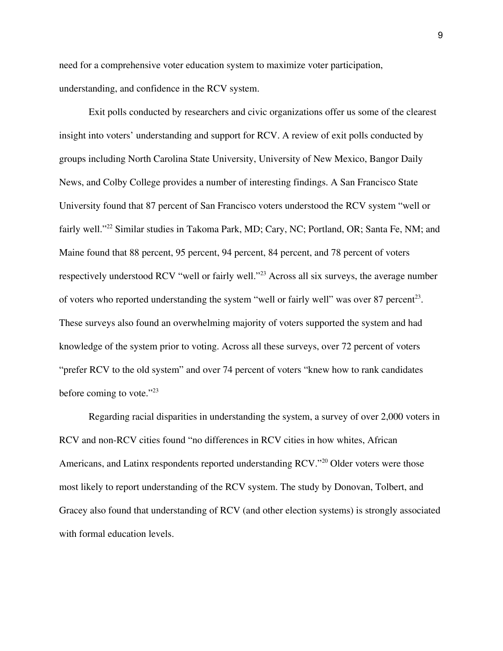need for a comprehensive voter education system to maximize voter participation, understanding, and confidence in the RCV system.

Exit polls conducted by researchers and civic organizations offer us some of the clearest insight into voters' understanding and support for RCV. A review of exit polls conducted by groups including North Carolina State University, University of New Mexico, Bangor Daily News, and Colby College provides a number of interesting findings. A San Francisco State University found that 87 percent of San Francisco voters understood the RCV system "well or fairly well." <sup>22</sup> Similar studies in Takoma Park, MD; Cary, NC; Portland, OR; Santa Fe, NM; and Maine found that 88 percent, 95 percent, 94 percent, 84 percent, and 78 percent of voters respectively understood RCV "well or fairly well."<sup>23</sup> Across all six surveys, the average number of voters who reported understanding the system "well or fairly well" was over 87 percent<sup>23</sup>. These surveys also found an overwhelming majority of voters supported the system and had knowledge of the system prior to voting. Across all these surveys, over 72 percent of voters "prefer RCV to the old system" and over 74 percent of voters "knew how to rank candidates before coming to vote." 23

Regarding racial disparities in understanding the system, a survey of over 2,000 voters in RCV and non-RCV cities found "no differences in RCV cities in how whites, African Americans, and Latinx respondents reported understanding RCV."<sup>20</sup> Older voters were those most likely to report understanding of the RCV system. The study by Donovan, Tolbert, and Gracey also found that understanding of RCV (and other election systems) is strongly associated with formal education levels.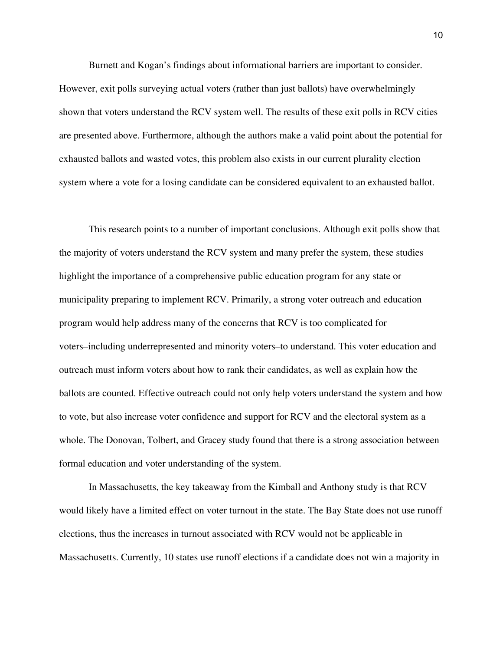Burnett and Kogan's findings about informational barriers are important to consider. However, exit polls surveying actual voters (rather than just ballots) have overwhelmingly shown that voters understand the RCV system well. The results of these exit polls in RCV cities are presented above. Furthermore, although the authors make a valid point about the potential for exhausted ballots and wasted votes, this problem also exists in our current plurality election system where a vote for a losing candidate can be considered equivalent to an exhausted ballot.

This research points to a number of important conclusions. Although exit polls show that the majority of voters understand the RCV system and many prefer the system, these studies highlight the importance of a comprehensive public education program for any state or municipality preparing to implement RCV. Primarily, a strong voter outreach and education program would help address many of the concerns that RCV is too complicated for voters–including underrepresented and minority voters–to understand. This voter education and outreach must inform voters about how to rank their candidates, as well as explain how the ballots are counted. Effective outreach could not only help voters understand the system and how to vote, but also increase voter confidence and support for RCV and the electoral system as a whole. The Donovan, Tolbert, and Gracey study found that there is a strong association between formal education and voter understanding of the system.

In Massachusetts, the key takeaway from the Kimball and Anthony study is that RCV would likely have a limited effect on voter turnout in the state. The Bay State does not use runoff elections, thus the increases in turnout associated with RCV would not be applicable in Massachusetts. Currently, 10 states use runoff elections if a candidate does not win a majority in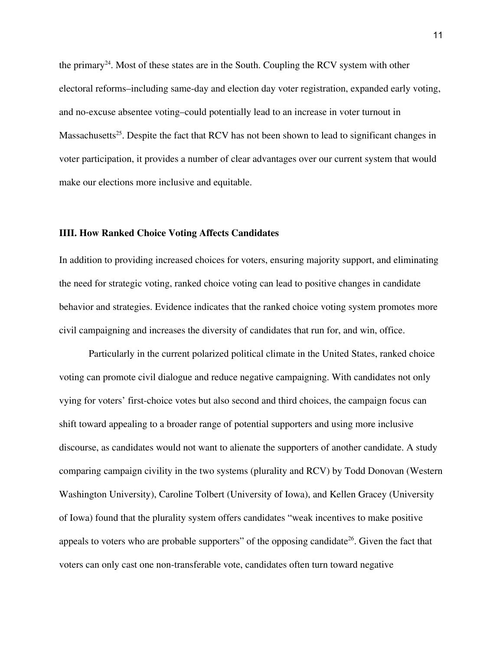the primary<sup>24</sup>. Most of these states are in the South. Coupling the RCV system with other electoral reforms–including same-day and election day voter registration, expanded early voting, and no-excuse absentee voting–could potentially lead to an increase in voter turnout in Massachusetts<sup>25</sup>. Despite the fact that RCV has not been shown to lead to significant changes in voter participation, it provides a number of clear advantages over our current system that would make our elections more inclusive and equitable.

# **IIII. How Ranked Choice Voting Affects Candidates**

In addition to providing increased choices for voters, ensuring majority support, and eliminating the need for strategic voting, ranked choice voting can lead to positive changes in candidate behavior and strategies. Evidence indicates that the ranked choice voting system promotes more civil campaigning and increases the diversity of candidates that run for, and win, office.

Particularly in the current polarized political climate in the United States, ranked choice voting can promote civil dialogue and reduce negative campaigning. With candidates not only vying for voters' first-choice votes but also second and third choices, the campaign focus can shift toward appealing to a broader range of potential supporters and using more inclusive discourse, as candidates would not want to alienate the supporters of another candidate. A study comparing campaign civility in the two systems (plurality and RCV) by Todd Donovan (Western Washington University), Caroline Tolbert (University of Iowa), and Kellen Gracey (University of Iowa) found that the plurality system offers candidates "weak incentives to make positive appeals to voters who are probable supporters" of the opposing candidate<sup>26</sup>. Given the fact that voters can only cast one non-transferable vote, candidates often turn toward negative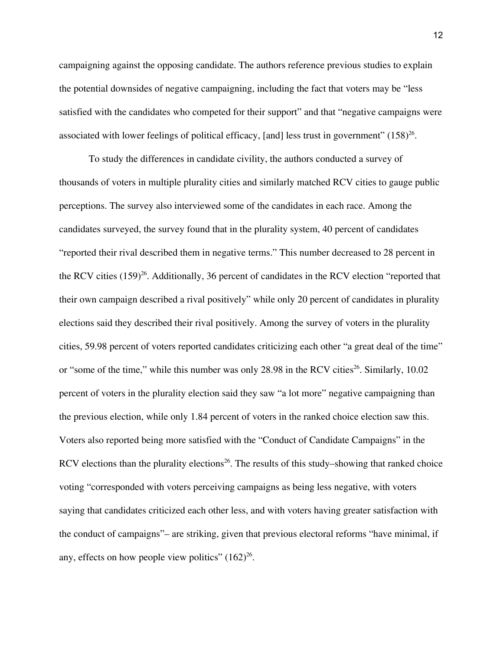campaigning against the opposing candidate. The authors reference previous studies to explain the potential downsides of negative campaigning, including the fact that voters may be "less satisfied with the candidates who competed for their support" and that "negative campaigns were associated with lower feelings of political efficacy, [and] less trust in government"  $(158)^{26}$ .

To study the differences in candidate civility, the authors conducted a survey of thousands of voters in multiple plurality cities and similarly matched RCV cities to gauge public perceptions. The survey also interviewed some of the candidates in each race. Among the candidates surveyed, the survey found that in the plurality system, 40 percent of candidates "reported their rival described them in negative terms." This number decreased to 28 percent in the RCV cities (159) 26 . Additionally, 36 percent of candidates in the RCV election "reported that their own campaign described a rival positively" while only 20 percent of candidates in plurality elections said they described their rival positively. Among the survey of voters in the plurality cities, 59.98 percent of voters reported candidates criticizing each other "a great deal of the time" or "some of the time," while this number was only 28.98 in the RCV cities 26 . Similarly, 10.02 percent of voters in the plurality election said they saw "a lot more" negative campaigning than the previous election, while only 1.84 percent of voters in the ranked choice election saw this. Voters also reported being more satisfied with the "Conduct of Candidate Campaigns" in the RCV elections than the plurality elections<sup>26</sup>. The results of this study–showing that ranked choice voting "corresponded with voters perceiving campaigns as being less negative, with voters saying that candidates criticized each other less, and with voters having greater satisfaction with the conduct of campaigns"– are striking, given that previous electoral reforms "have minimal, if any, effects on how people view politics"  $(162)^{26}$ .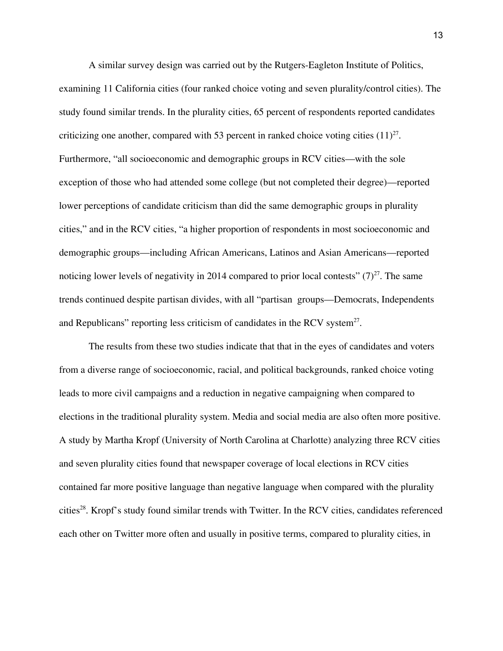A similar survey design was carried out by the Rutgers-Eagleton Institute of Politics, examining 11 California cities (four ranked choice voting and seven plurality/control cities). The study found similar trends. In the plurality cities, 65 percent of respondents reported candidates criticizing one another, compared with 53 percent in ranked choice voting cities  $(11)^{27}$ . Furthermore, "all socioeconomic and demographic groups in RCV cities—with the sole exception of those who had attended some college (but not completed their degree)—reported lower perceptions of candidate criticism than did the same demographic groups in plurality cities," and in the RCV cities, "a higher proportion of respondents in most socioeconomic and demographic groups—including African Americans, Latinos and Asian Americans—reported noticing lower levels of negativity in 2014 compared to prior local contests"  $(7)^{27}$ . The same trends continued despite partisan divides, with all "partisan groups—Democrats, Independents and Republicans" reporting less criticism of candidates in the RCV system $2^7$ .

The results from these two studies indicate that that in the eyes of candidates and voters from a diverse range of socioeconomic, racial, and political backgrounds, ranked choice voting leads to more civil campaigns and a reduction in negative campaigning when compared to elections in the traditional plurality system. Media and social media are also often more positive. A study by Martha Kropf (University of North Carolina at Charlotte) analyzing three RCV cities and seven plurality cities found that newspaper coverage of local elections in RCV cities contained far more positive language than negative language when compared with the plurality cities 28 . Kropf's study found similar trends with Twitter. In the RCV cities, candidates referenced each other on Twitter more often and usually in positive terms, compared to plurality cities, in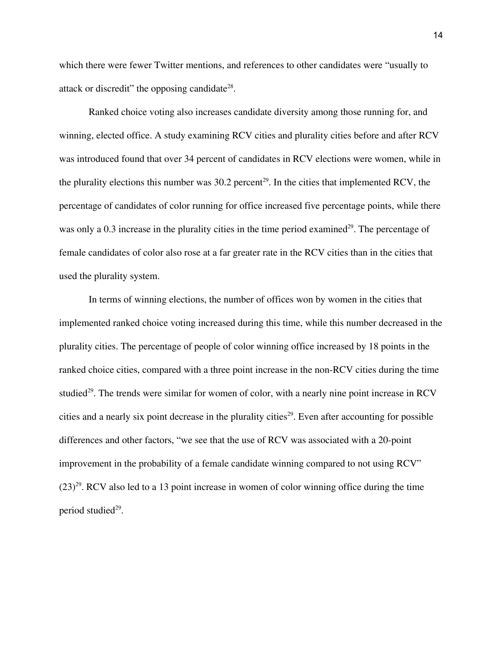which there were fewer Twitter mentions, and references to other candidates were "usually to attack or discredit" the opposing candidate<sup>28</sup>.

Ranked choice voting also increases candidate diversity among those running for, and winning, elected office. A study examining RCV cities and plurality cities before and after RCV was introduced found that over 34 percent of candidates in RCV elections were women, while in the plurality elections this number was  $30.2$  percent<sup>29</sup>. In the cities that implemented RCV, the percentage of candidates of color running for office increased five percentage points, while there was only a 0.3 increase in the plurality cities in the time period examined<sup>29</sup>. The percentage of female candidates of color also rose at a far greater rate in the RCV cities than in the cities that used the plurality system.

In terms of winning elections, the number of offices won by women in the cities that implemented ranked choice voting increased during this time, while this number decreased in the plurality cities. The percentage of people of color winning office increased by 18 points in the ranked choice cities, compared with a three point increase in the non-RCV cities during the time studied<sup>29</sup>. The trends were similar for women of color, with a nearly nine point increase in RCV cities and a nearly six point decrease in the plurality cities 29 . Even after accounting for possible differences and other factors, "we see that the use of RCV was associated with a 20-point improvement in the probability of a female candidate winning compared to not using RCV"  $(23)^{29}$ . RCV also led to a 13 point increase in women of color winning office during the time period studied 29 .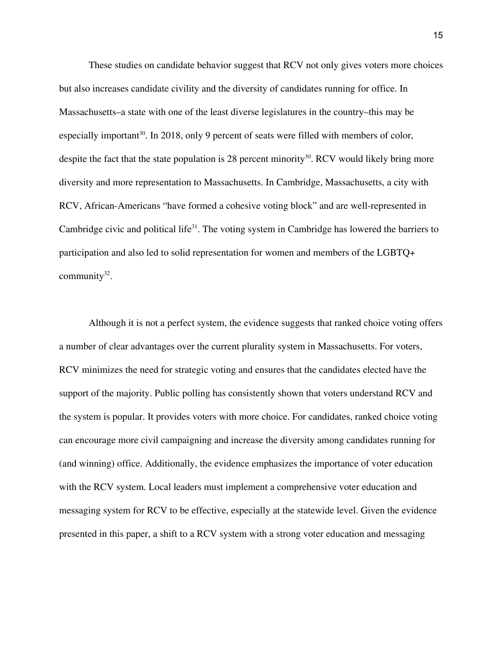These studies on candidate behavior suggest that RCV not only gives voters more choices but also increases candidate civility and the diversity of candidates running for office. In Massachusetts–a state with one of the least diverse legislatures in the country–this may be especially important<sup>30</sup>. In 2018, only 9 percent of seats were filled with members of color, despite the fact that the state population is 28 percent minority<sup>30</sup>. RCV would likely bring more diversity and more representation to Massachusetts. In Cambridge, Massachusetts, a city with RCV, African-Americans "have formed a cohesive voting block" and are well-represented in Cambridge civic and political life<sup>31</sup>. The voting system in Cambridge has lowered the barriers to participation and also led to solid representation for women and members of the LGBTQ+ community<sup>32</sup>.

Although it is not a perfect system, the evidence suggests that ranked choice voting offers a number of clear advantages over the current plurality system in Massachusetts. For voters, RCV minimizes the need for strategic voting and ensures that the candidates elected have the support of the majority. Public polling has consistently shown that voters understand RCV and the system is popular. It provides voters with more choice. For candidates, ranked choice voting can encourage more civil campaigning and increase the diversity among candidates running for (and winning) office. Additionally, the evidence emphasizes the importance of voter education with the RCV system. Local leaders must implement a comprehensive voter education and messaging system for RCV to be effective, especially at the statewide level. Given the evidence presented in this paper, a shift to a RCV system with a strong voter education and messaging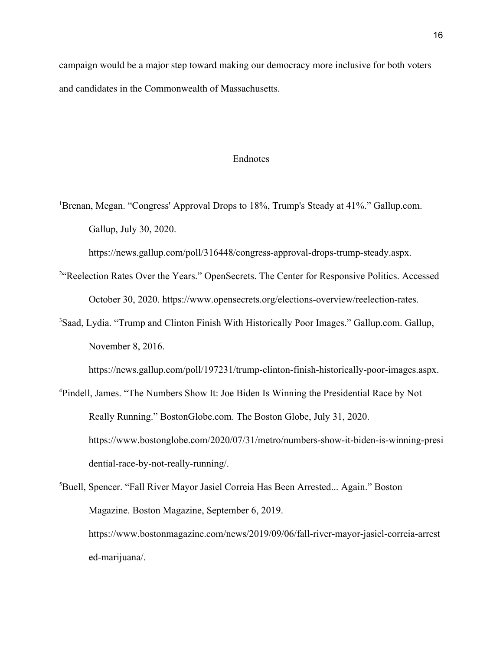campaign would be a major step toward making our democracy more inclusive for both voters and candidates in the Commonwealth of Massachusetts.

# Endnotes

<sup>1</sup>Brenan, Megan. "Congress' Approval Drops to 18%, Trump's Steady at 41%." Gallup.com. Gallup, July 30, 2020.

https://news.gallup.com/poll/316448/congress-approval-drops-trump-steady.aspx.

- <sup>2"</sup>Reelection Rates Over the Years." OpenSecrets. The Center for Responsive Politics. Accessed October 30, 2020. https://www.opensecrets.org/elections-overview/reelection-rates.
- <sup>3</sup>Saad, Lydia. "Trump and Clinton Finish With Historically Poor Images." Gallup.com. Gallup, November 8, 2016.

https://news.gallup.com/poll/197231/trump-clinton-finish-historically-poor-images.aspx.

- <sup>4</sup>Pindell, James. "The Numbers Show It: Joe Biden Is Winning the Presidential Race by Not Really Running." BostonGlobe.com. The Boston Globe, July 31, 2020. https://www.bostonglobe.com/2020/07/31/metro/numbers-show-it-biden-is-winning-presi dential-race-by-not-really-running/.
- <sup>5</sup>Buell, Spencer. "Fall River Mayor Jasiel Correia Has Been Arrested... Again." Boston Magazine. Boston Magazine, September 6, 2019. https://www.bostonmagazine.com/news/2019/09/06/fall-river-mayor-jasiel-correia-arrest ed-marijuana/.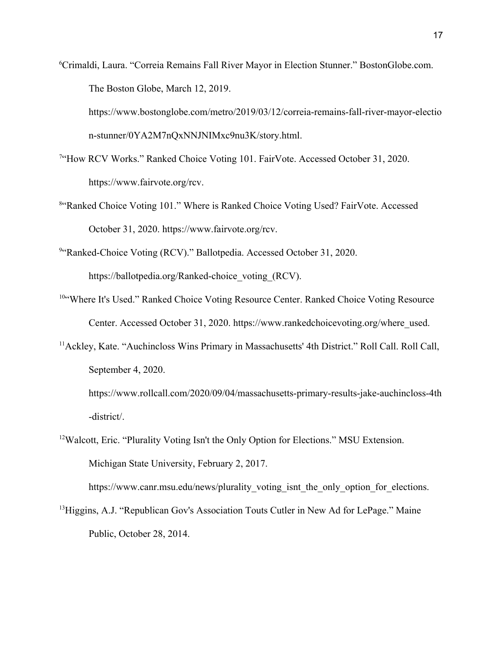<sup>6</sup>Crimaldi, Laura. "Correia Remains Fall River Mayor in Election Stunner." BostonGlobe.com. The Boston Globe, March 12, 2019.

https://www.bostonglobe.com/metro/2019/03/12/correia-remains-fall-river-mayor-electio n-stunner/0YA2M7nQxNNJNIMxc9nu3K/story.html.

- <sup>7"</sup>How RCV Works." Ranked Choice Voting 101. FairVote. Accessed October 31, 2020. https://www.fairvote.org/rcv.
- <sup>8"</sup>Ranked Choice Voting 101." Where is Ranked Choice Voting Used? FairVote. Accessed October 31, 2020. https://www.fairvote.org/rcv.

<sup>9</sup>"Ranked-Choice Voting (RCV)." Ballotpedia. Accessed October 31, 2020. https://ballotpedia.org/Ranked-choice\_voting\_(RCV).

- <sup>10</sup>"Where It's Used." Ranked Choice Voting Resource Center. Ranked Choice Voting Resource Center. Accessed October 31, 2020. https://www.rankedchoicevoting.org/where\_used.
- <sup>11</sup> Ackley, Kate. "Auchincloss Wins Primary in Massachusetts' 4th District." Roll Call. Roll Call, September 4, 2020.

https://www.rollcall.com/2020/09/04/massachusetts-primary-results-jake-auchincloss-4th -district/.

<sup>12</sup>Walcott, Eric. "Plurality Voting Isn't the Only Option for Elections." MSU Extension. Michigan State University, February 2, 2017.

https://www.canr.msu.edu/news/plurality\_voting\_isnt\_the\_only\_option\_for\_elections.

<sup>13</sup>Higgins, A.J. "Republican Gov's Association Touts Cutler in New Ad for LePage." Maine Public, October 28, 2014.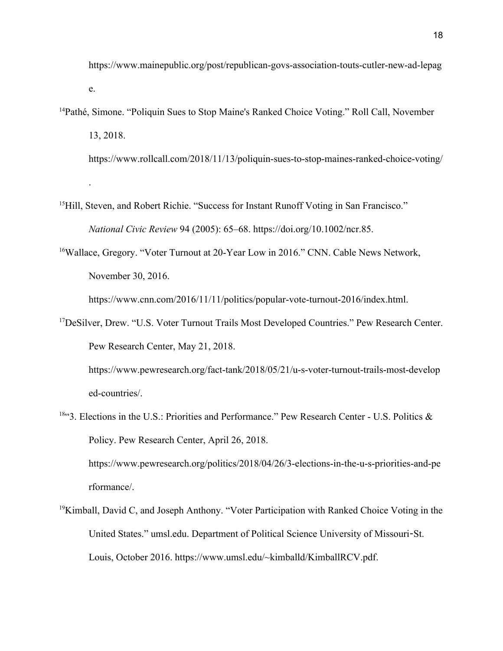https://www.mainepublic.org/post/republican-govs-association-touts-cutler-new-ad-lepag e.

<sup>14</sup>Pathé, Simone. "Poliquin Sues to Stop Maine's Ranked Choice Voting." Roll Call, November 13, 2018.

https://www.rollcall.com/2018/11/13/poliquin-sues-to-stop-maines-ranked-choice-voting/

<sup>15</sup>Hill, Steven, and Robert Richie. "Success for Instant Runoff Voting in San Francisco." *National Civic Review* 94 (2005): 65–68. https://doi.org/10.1002/ncr.85.

.

<sup>16</sup>Wallace, Gregory. "Voter Turnout at 20-Year Low in 2016." CNN. Cable News Network, November 30, 2016.

https://www.cnn.com/2016/11/11/politics/popular-vote-turnout-2016/index.html.

<sup>17</sup>DeSilver, Drew. "U.S. Voter Turnout Trails Most Developed Countries." Pew Research Center. Pew Research Center, May 21, 2018.

https://www.pewresearch.org/fact-tank/2018/05/21/u-s-voter-turnout-trails-most-develop ed-countries/.

18"3. Elections in the U.S.: Priorities and Performance." Pew Research Center - U.S. Politics & Policy. Pew Research Center, April 26, 2018.

https://www.pewresearch.org/politics/2018/04/26/3-elections-in-the-u-s-priorities-and-pe rformance/.

 $19$ Kimball, David C, and Joseph Anthony. "Voter Participation with Ranked Choice Voting in the United States." umsl.edu. Department of Political Science University of Missouri-St. Louis, October 2016. https://www.umsl.edu/~kimballd/KimballRCV.pdf.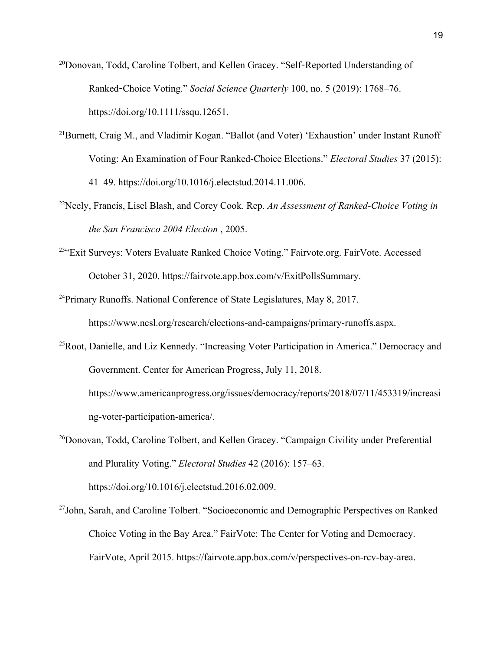<sup>20</sup>Donovan, Todd, Caroline Tolbert, and Kellen Gracey. "Self-Reported Understanding of Ranked-Choice Voting." *Social Science Quarterly* 100, no. 5 (2019): 1768–76. https://doi.org/10.1111/ssqu.12651.

- <sup>21</sup>Burnett, Craig M., and Vladimir Kogan. "Ballot (and Voter) 'Exhaustion' under Instant Runoff Voting: An Examination of Four Ranked-Choice Elections." *Electoral Studies* 37 (2015): 41–49. https://doi.org/10.1016/j.electstud.2014.11.006.
- <sup>22</sup>Neely, Francis, Lisel Blash, and Corey Cook. Rep. *An Assessment of Ranked-Choice Voting in the San Francisco 2004 Election* , 2005.
- <sup>23"</sup>Exit Surveys: Voters Evaluate Ranked Choice Voting." Fairvote.org. FairVote. Accessed October 31, 2020. https://fairvote.app.box.com/v/ExitPollsSummary.
- <sup>24</sup>Primary Runoffs. National Conference of State Legislatures, May 8, 2017. https://www.ncsl.org/research/elections-and-campaigns/primary-runoffs.aspx.
- <sup>25</sup>Root, Danielle, and Liz Kennedy. "Increasing Voter Participation in America." Democracy and Government. Center for American Progress, July 11, 2018. https://www.americanprogress.org/issues/democracy/reports/2018/07/11/453319/increasi ng-voter-participation-america/.

<sup>26</sup>Donovan, Todd, Caroline Tolbert, and Kellen Gracey. "Campaign Civility under Preferential and Plurality Voting." *Electoral Studies* 42 (2016): 157–63. https://doi.org/10.1016/j.electstud.2016.02.009.

<sup>27</sup>John, Sarah, and Caroline Tolbert. "Socioeconomic and Demographic Perspectives on Ranked Choice Voting in the Bay Area." FairVote: The Center for Voting and Democracy. FairVote, April 2015. https://fairvote.app.box.com/v/perspectives-on-rcv-bay-area.